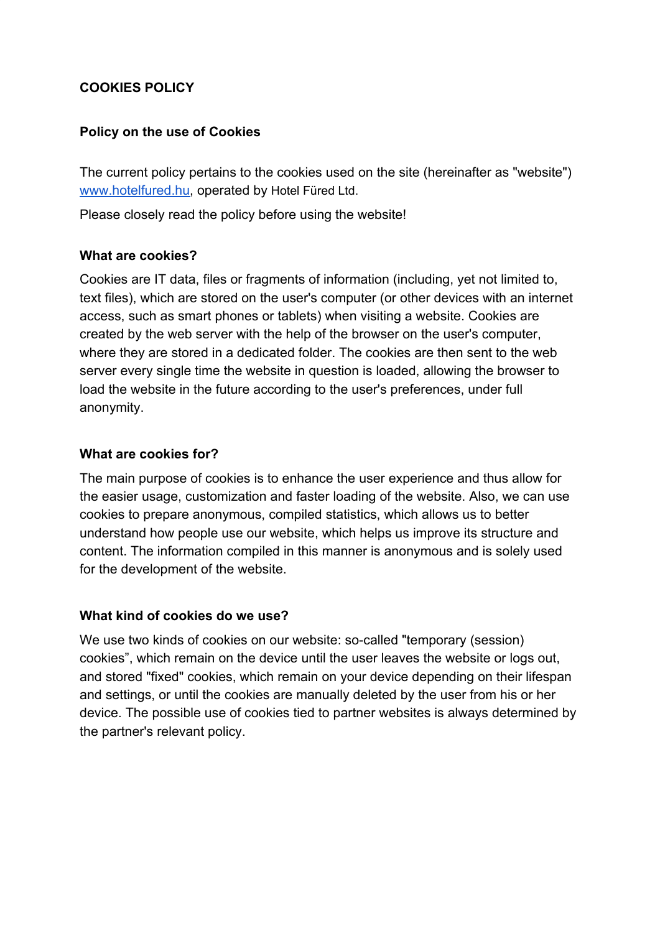# **COOKIES POLICY**

### **Policy on the use of Cookies**

The current policy pertains to the cookies used on the site (hereinafter as "website") [www.hotelfured.hu,](http://www.hotelfured.hu/) operated by Hotel Füred Ltd.

Please closely read the policy before using the website!

#### **What are cookies?**

Cookies are IT data, files or fragments of information (including, yet not limited to, text files), which are stored on the user's computer (or other devices with an internet access, such as smart phones or tablets) when visiting a website. Cookies are created by the web server with the help of the browser on the user's computer, where they are stored in a dedicated folder. The cookies are then sent to the web server every single time the website in question is loaded, allowing the browser to load the website in the future according to the user's preferences, under full anonymity.

#### **What are cookies for?**

The main purpose of cookies is to enhance the user experience and thus allow for the easier usage, customization and faster loading of the website. Also, we can use cookies to prepare anonymous, compiled statistics, which allows us to better understand how people use our website, which helps us improve its structure and content. The information compiled in this manner is anonymous and is solely used for the development of the website.

#### **What kind of cookies do we use?**

We use two kinds of cookies on our website: so-called "temporary (session) cookies", which remain on the device until the user leaves the website or logs out, and stored "fixed" cookies, which remain on your device depending on their lifespan and settings, or until the cookies are manually deleted by the user from his or her device. The possible use of cookies tied to partner websites is always determined by the partner's relevant policy.